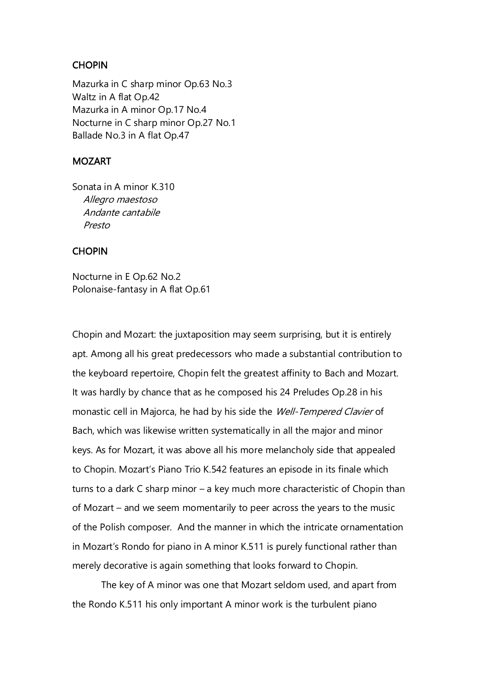## **CHOPIN**

Mazurka in C sharp minor Op.63 No.3 Waltz in A flat Op.42 Mazurka in A minor Op.17 No.4 Nocturne in C sharp minor Op.27 No.1 Ballade No.3 in A flat Op.47

## MOZART

Sonata in A minor K.310 Allegro maestoso Andante cantabile Presto

## **CHOPIN**

Nocturne in E Op.62 No.2 Polonaise-fantasy in A flat Op.61

Chopin and Mozart: the juxtaposition may seem surprising, but it is entirely apt. Among all his great predecessors who made a substantial contribution to the keyboard repertoire, Chopin felt the greatest affinity to Bach and Mozart. It was hardly by chance that as he composed his 24 Preludes Op.28 in his monastic cell in Majorca, he had by his side the Well-Tempered Clavier of Bach, which was likewise written systematically in all the major and minor keys. As for Mozart, it was above all his more melancholy side that appealed to Chopin. Mozart's Piano Trio K.542 features an episode in its finale which turns to a dark C sharp minor – a key much more characteristic of Chopin than of Mozart – and we seem momentarily to peer across the years to the music of the Polish composer. And the manner in which the intricate ornamentation in Mozart's Rondo for piano in A minor K.511 is purely functional rather than merely decorative is again something that looks forward to Chopin.

The key of A minor was one that Mozart seldom used, and apart from the Rondo K.511 his only important A minor work is the turbulent piano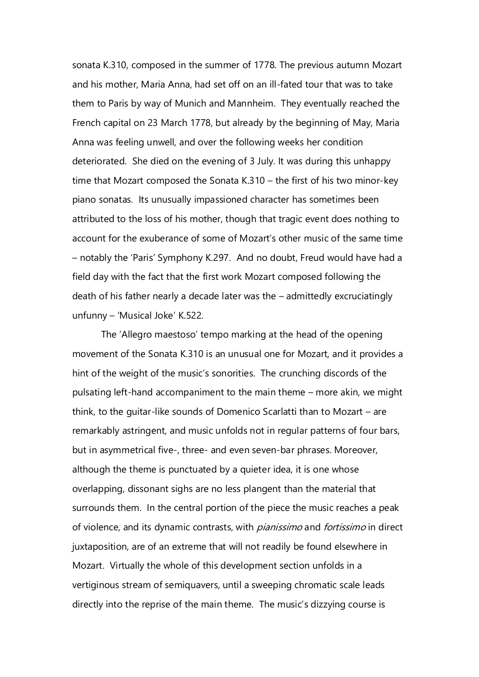sonata K.310, composed in the summer of 1778. The previous autumn Mozart and his mother, Maria Anna, had set off on an ill-fated tour that was to take them to Paris by way of Munich and Mannheim. They eventually reached the French capital on 23 March 1778, but already by the beginning of May, Maria Anna was feeling unwell, and over the following weeks her condition deteriorated. She died on the evening of 3 July. It was during this unhappy time that Mozart composed the Sonata K.310 – the first of his two minor-key piano sonatas. Its unusually impassioned character has sometimes been attributed to the loss of his mother, though that tragic event does nothing to account for the exuberance of some of Mozart's other music of the same time – notably the 'Paris' Symphony K.297. And no doubt, Freud would have had a field day with the fact that the first work Mozart composed following the death of his father nearly a decade later was the – admittedly excruciatingly unfunny – 'Musical Joke' K.522.

The 'Allegro maestoso' tempo marking at the head of the opening movement of the Sonata K.310 is an unusual one for Mozart, and it provides a hint of the weight of the music's sonorities. The crunching discords of the pulsating left-hand accompaniment to the main theme – more akin, we might think, to the guitar-like sounds of Domenico Scarlatti than to Mozart – are remarkably astringent, and music unfolds not in regular patterns of four bars, but in asymmetrical five-, three- and even seven-bar phrases. Moreover, although the theme is punctuated by a quieter idea, it is one whose overlapping, dissonant sighs are no less plangent than the material that surrounds them. In the central portion of the piece the music reaches a peak of violence, and its dynamic contrasts, with *pianissimo* and *fortissimo* in direct juxtaposition, are of an extreme that will not readily be found elsewhere in Mozart. Virtually the whole of this development section unfolds in a vertiginous stream of semiquavers, until a sweeping chromatic scale leads directly into the reprise of the main theme. The music's dizzying course is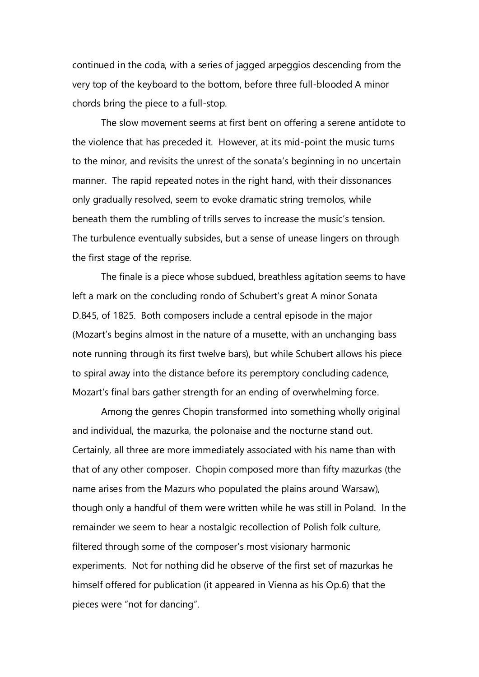continued in the coda, with a series of jagged arpeggios descending from the very top of the keyboard to the bottom, before three full-blooded A minor chords bring the piece to a full-stop.

The slow movement seems at first bent on offering a serene antidote to the violence that has preceded it. However, at its mid-point the music turns to the minor, and revisits the unrest of the sonata's beginning in no uncertain manner. The rapid repeated notes in the right hand, with their dissonances only gradually resolved, seem to evoke dramatic string tremolos, while beneath them the rumbling of trills serves to increase the music's tension. The turbulence eventually subsides, but a sense of unease lingers on through the first stage of the reprise.

The finale is a piece whose subdued, breathless agitation seems to have left a mark on the concluding rondo of Schubert's great A minor Sonata D.845, of 1825. Both composers include a central episode in the major (Mozart's begins almost in the nature of a musette, with an unchanging bass note running through its first twelve bars), but while Schubert allows his piece to spiral away into the distance before its peremptory concluding cadence, Mozart's final bars gather strength for an ending of overwhelming force.

Among the genres Chopin transformed into something wholly original and individual, the mazurka, the polonaise and the nocturne stand out. Certainly, all three are more immediately associated with his name than with that of any other composer. Chopin composed more than fifty mazurkas (the name arises from the Mazurs who populated the plains around Warsaw), though only a handful of them were written while he was still in Poland. In the remainder we seem to hear a nostalgic recollection of Polish folk culture, filtered through some of the composer's most visionary harmonic experiments. Not for nothing did he observe of the first set of mazurkas he himself offered for publication (it appeared in Vienna as his Op.6) that the pieces were "not for dancing".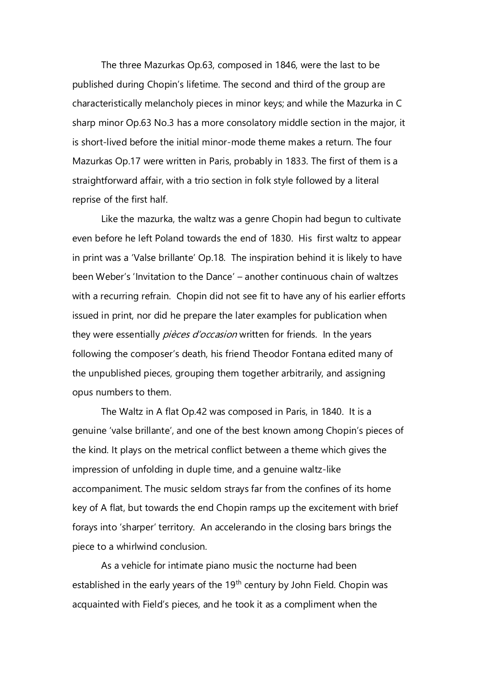The three Mazurkas Op.63, composed in 1846, were the last to be published during Chopin's lifetime. The second and third of the group are characteristically melancholy pieces in minor keys; and while the Mazurka in C sharp minor Op.63 No.3 has a more consolatory middle section in the major, it is short-lived before the initial minor-mode theme makes a return. The four Mazurkas Op.17 were written in Paris, probably in 1833. The first of them is a straightforward affair, with a trio section in folk style followed by a literal reprise of the first half.

Like the mazurka, the waltz was a genre Chopin had begun to cultivate even before he left Poland towards the end of 1830. His first waltz to appear in print was a 'Valse brillante' Op.18. The inspiration behind it is likely to have been Weber's 'Invitation to the Dance' – another continuous chain of waltzes with a recurring refrain. Chopin did not see fit to have any of his earlier efforts issued in print, nor did he prepare the later examples for publication when they were essentially *pièces d'occasion* written for friends. In the years following the composer's death, his friend Theodor Fontana edited many of the unpublished pieces, grouping them together arbitrarily, and assigning opus numbers to them.

The Waltz in A flat Op.42 was composed in Paris, in 1840. It is a genuine 'valse brillante', and one of the best known among Chopin's pieces of the kind. It plays on the metrical conflict between a theme which gives the impression of unfolding in duple time, and a genuine waltz-like accompaniment. The music seldom strays far from the confines of its home key of A flat, but towards the end Chopin ramps up the excitement with brief forays into 'sharper' territory. An accelerando in the closing bars brings the piece to a whirlwind conclusion.

As a vehicle for intimate piano music the nocturne had been established in the early years of the 19<sup>th</sup> century by John Field. Chopin was acquainted with Field's pieces, and he took it as a compliment when the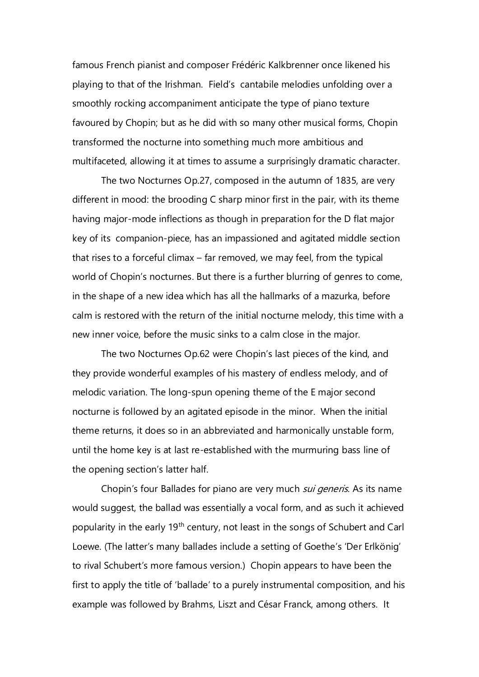famous French pianist and composer Frédéric Kalkbrenner once likened his playing to that of the Irishman. Field's cantabile melodies unfolding over a smoothly rocking accompaniment anticipate the type of piano texture favoured by Chopin; but as he did with so many other musical forms, Chopin transformed the nocturne into something much more ambitious and multifaceted, allowing it at times to assume a surprisingly dramatic character.

The two Nocturnes Op.27, composed in the autumn of 1835, are very different in mood: the brooding C sharp minor first in the pair, with its theme having major-mode inflections as though in preparation for the D flat major key of its companion-piece, has an impassioned and agitated middle section that rises to a forceful climax – far removed, we may feel, from the typical world of Chopin's nocturnes. But there is a further blurring of genres to come, in the shape of a new idea which has all the hallmarks of a mazurka, before calm is restored with the return of the initial nocturne melody, this time with a new inner voice, before the music sinks to a calm close in the major.

The two Nocturnes Op.62 were Chopin's last pieces of the kind, and they provide wonderful examples of his mastery of endless melody, and of melodic variation. The long-spun opening theme of the E major second nocturne is followed by an agitated episode in the minor. When the initial theme returns, it does so in an abbreviated and harmonically unstable form, until the home key is at last re-established with the murmuring bass line of the opening section's latter half.

Chopin's four Ballades for piano are very much *sui generis*. As its name would suggest, the ballad was essentially a vocal form, and as such it achieved popularity in the early 19<sup>th</sup> century, not least in the songs of Schubert and Carl Loewe. (The latter's many ballades include a setting of Goethe's 'Der Erlkönig' to rival Schubert's more famous version.) Chopin appears to have been the first to apply the title of 'ballade' to a purely instrumental composition, and his example was followed by Brahms, Liszt and César Franck, among others. It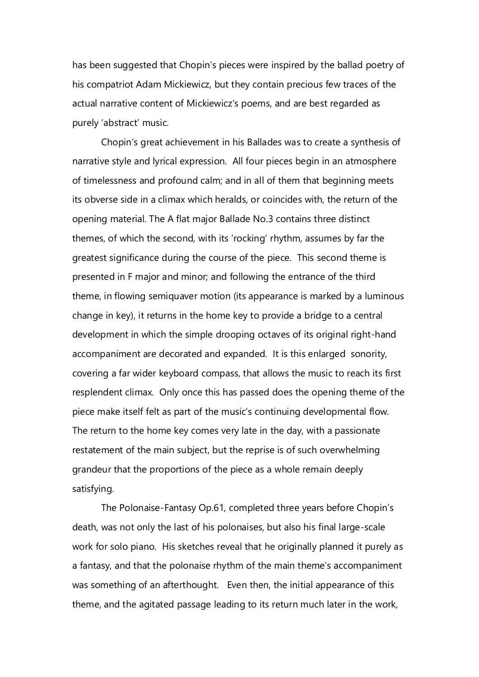has been suggested that Chopin's pieces were inspired by the ballad poetry of his compatriot Adam Mickiewicz, but they contain precious few traces of the actual narrative content of Mickiewicz's poems, and are best regarded as purely 'abstract' music.

Chopin's great achievement in his Ballades was to create a synthesis of narrative style and lyrical expression. All four pieces begin in an atmosphere of timelessness and profound calm; and in all of them that beginning meets its obverse side in a climax which heralds, or coincides with, the return of the opening material. The A flat major Ballade No.3 contains three distinct themes, of which the second, with its 'rocking' rhythm, assumes by far the greatest significance during the course of the piece. This second theme is presented in F major and minor; and following the entrance of the third theme, in flowing semiquaver motion (its appearance is marked by a luminous change in key), it returns in the home key to provide a bridge to a central development in which the simple drooping octaves of its original right-hand accompaniment are decorated and expanded. It is this enlarged sonority, covering a far wider keyboard compass, that allows the music to reach its first resplendent climax. Only once this has passed does the opening theme of the piece make itself felt as part of the music's continuing developmental flow. The return to the home key comes very late in the day, with a passionate restatement of the main subject, but the reprise is of such overwhelming grandeur that the proportions of the piece as a whole remain deeply satisfying.

The Polonaise-Fantasy Op.61, completed three years before Chopin's death, was not only the last of his polonaises, but also his final large-scale work for solo piano. His sketches reveal that he originally planned it purely as a fantasy, and that the polonaise rhythm of the main theme's accompaniment was something of an afterthought. Even then, the initial appearance of this theme, and the agitated passage leading to its return much later in the work,